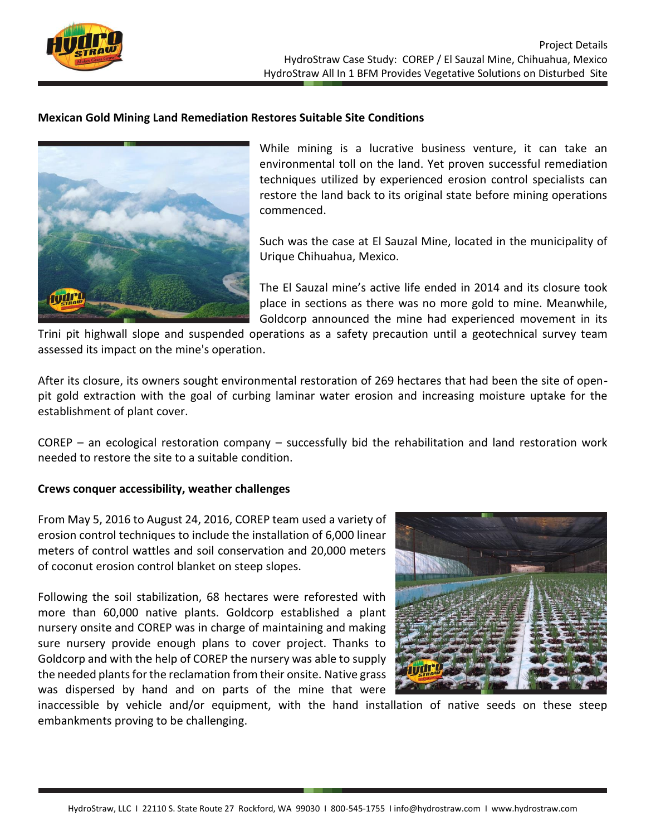

## **Mexican Gold Mining Land Remediation Restores Suitable Site Conditions**



While mining is a lucrative business venture, it can take an environmental toll on the land. Yet proven successful remediation techniques utilized by experienced erosion control specialists can restore the land back to its original state before mining operations commenced.

Such was the case at El Sauzal Mine, located in the municipality of Urique Chihuahua, Mexico.

The El Sauzal mine's active life ended in 2014 and its closure took place in sections as there was no more gold to mine. Meanwhile, Goldcorp announced the mine had experienced movement in its

Trini pit highwall slope and suspended operations as a safety precaution until a geotechnical survey team assessed its impact on the mine's operation.

After its closure, its owners sought environmental restoration of 269 hectares that had been the site of openpit gold extraction with the goal of curbing laminar water erosion and increasing moisture uptake for the establishment of plant cover.

COREP – an ecological restoration company – successfully bid the rehabilitation and land restoration work needed to restore the site to a suitable condition.

## **Crews conquer accessibility, weather challenges**

From May 5, 2016 to August 24, 2016, COREP team used a variety of erosion control techniques to include the installation of 6,000 linear meters of control wattles and soil conservation and 20,000 meters of coconut erosion control blanket on steep slopes.

Following the soil stabilization, 68 hectares were reforested with more than 60,000 native plants. Goldcorp established a plant nursery onsite and COREP was in charge of maintaining and making sure nursery provide enough plans to cover project. Thanks to Goldcorp and with the help of COREP the nursery was able to supply the needed plants for the reclamation from their onsite. Native grass was dispersed by hand and on parts of the mine that were



inaccessible by vehicle and/or equipment, with the hand installation of native seeds on these steep embankments proving to be challenging.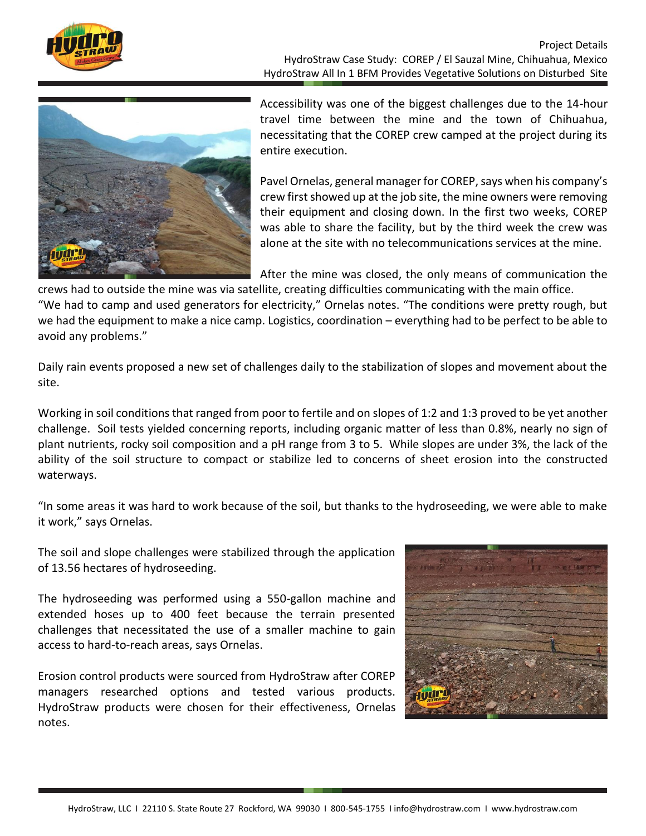

Project Details HydroStraw Case Study: COREP / El Sauzal Mine, Chihuahua, Mexico HydroStraw All In 1 BFM Provides Vegetative Solutions on Disturbed Site



Accessibility was one of the biggest challenges due to the 14-hour travel time between the mine and the town of Chihuahua, necessitating that the COREP crew camped at the project during its entire execution.

Pavel Ornelas, general manager for COREP, says when his company's crew first showed up at the job site, the mine owners were removing their equipment and closing down. In the first two weeks, COREP was able to share the facility, but by the third week the crew was alone at the site with no telecommunications services at the mine.

After the mine was closed, the only means of communication the

crews had to outside the mine was via satellite, creating difficulties communicating with the main office. "We had to camp and used generators for electricity," Ornelas notes. "The conditions were pretty rough, but we had the equipment to make a nice camp. Logistics, coordination – everything had to be perfect to be able to avoid any problems."

Daily rain events proposed a new set of challenges daily to the stabilization of slopes and movement about the site.

Working in soil conditions that ranged from poor to fertile and on slopes of 1:2 and 1:3 proved to be yet another challenge. Soil tests yielded concerning reports, including organic matter of less than 0.8%, nearly no sign of plant nutrients, rocky soil composition and a pH range from 3 to 5. While slopes are under 3%, the lack of the ability of the soil structure to compact or stabilize led to concerns of sheet erosion into the constructed waterways.

"In some areas it was hard to work because of the soil, but thanks to the hydroseeding, we were able to make it work," says Ornelas.

The soil and slope challenges were stabilized through the application of 13.56 hectares of hydroseeding.

The hydroseeding was performed using a 550-gallon machine and extended hoses up to 400 feet because the terrain presented challenges that necessitated the use of a smaller machine to gain access to hard-to-reach areas, says Ornelas.

Erosion control products were sourced from HydroStraw after COREP managers researched options and tested various products. HydroStraw products were chosen for their effectiveness, Ornelas notes.

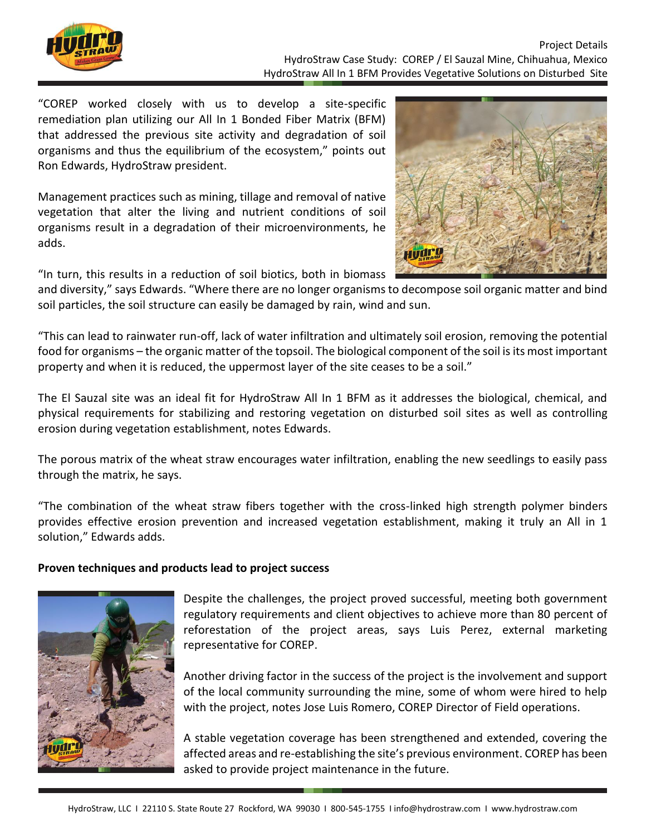

"COREP worked closely with us to develop a site-specific remediation plan utilizing our All In 1 Bonded Fiber Matrix (BFM) that addressed the previous site activity and degradation of soil organisms and thus the equilibrium of the ecosystem," points out Ron Edwards, HydroStraw president.

Management practices such as mining, tillage and removal of native vegetation that alter the living and nutrient conditions of soil organisms result in a degradation of their microenvironments, he adds.



"In turn, this results in a reduction of soil biotics, both in biomass

and diversity," says Edwards. "Where there are no longer organisms to decompose soil organic matter and bind soil particles, the soil structure can easily be damaged by rain, wind and sun.

"This can lead to rainwater run-off, lack of water infiltration and ultimately soil erosion, removing the potential food for organisms – the organic matter of the topsoil. The biological component of the soil is its most important property and when it is reduced, the uppermost layer of the site ceases to be a soil."

The El Sauzal site was an ideal fit for HydroStraw All In 1 BFM as it addresses the biological, chemical, and physical requirements for stabilizing and restoring vegetation on disturbed soil sites as well as controlling erosion during vegetation establishment, notes Edwards.

The porous matrix of the wheat straw encourages water infiltration, enabling the new seedlings to easily pass through the matrix, he says.

"The combination of the wheat straw fibers together with the cross-linked high strength polymer binders provides effective erosion prevention and increased vegetation establishment, making it truly an All in 1 solution," Edwards adds.

## **Proven techniques and products lead to project success**



Despite the challenges, the project proved successful, meeting both government regulatory requirements and client objectives to achieve more than 80 percent of reforestation of the project areas, says Luis Perez, external marketing representative for COREP.

Another driving factor in the success of the project is the involvement and support of the local community surrounding the mine, some of whom were hired to help with the project, notes Jose Luis Romero, COREP Director of Field operations.

A stable vegetation coverage has been strengthened and extended, covering the affected areas and re-establishing the site's previous environment. COREP has been asked to provide project maintenance in the future.